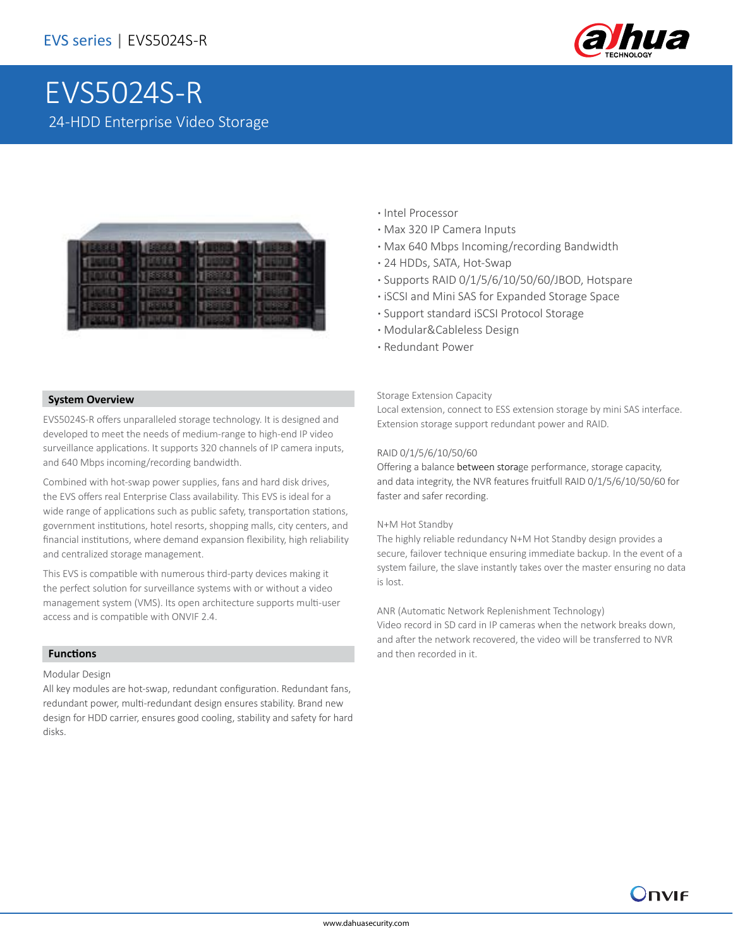

# EVS5024S-R 24-HDD Enterprise Video Storage



- **·** Intel Processor
- **·** Max 320 IP Camera Inputs
- **·** Max 640 Mbps Incoming/recording Bandwidth
- **·** 24 HDDs, SATA, Hot-Swap
- **·** Supports RAID 0/1/5/6/10/50/60/JBOD, Hotspare
- **·** iSCSI and Mini SAS for Expanded Storage Space
- **·** Support standard iSCSI Protocol Storage
- **·** Modular&Cableless Design
- **·** Redundant Power

### **System Overview**

EVS5024S-R offers unparalleled storage technology. It is designed and developed to meet the needs of medium-range to high-end IP video surveillance applications. It supports 320 channels of IP camera inputs, and 640 Mbps incoming/recording bandwidth.

Combined with hot-swap power supplies, fans and hard disk drives, the EVS offers real Enterprise Class availability. This EVS is ideal for a wide range of applications such as public safety, transportation stations, government institutions, hotel resorts, shopping malls, city centers, and financial institutions, where demand expansion flexibility, high reliability and centralized storage management.

This EVS is compatible with numerous third-party devices making it the perfect solution for surveillance systems with or without a video management system (VMS). Its open architecture supports multi-user access and is compatible with ONVIF 2.4.

### **Functions**

Modular Design

All key modules are hot-swap, redundant configuration. Redundant fans, redundant power, multi-redundant design ensures stability. Brand new design for HDD carrier, ensures good cooling, stability and safety for hard disks.

#### Storage Extension Capacity

Local extension, connect to ESS extension storage by mini SAS interface. Extension storage support redundant power and RAID.

### RAID 0/1/5/6/10/50/60

Offering a balance between storage performance, storage capacity, and data integrity, the NVR features fruitfull RAID 0/1/5/6/10/50/60 for faster and safer recording.

#### N+M Hot Standby

The highly reliable redundancy N+M Hot Standby design provides a secure, failover technique ensuring immediate backup. In the event of a system failure, the slave instantly takes over the master ensuring no data is lost.

ANR (Automatic Network Replenishment Technology)

Video record in SD card in IP cameras when the network breaks down, and after the network recovered, the video will be transferred to NVR and then recorded in it.

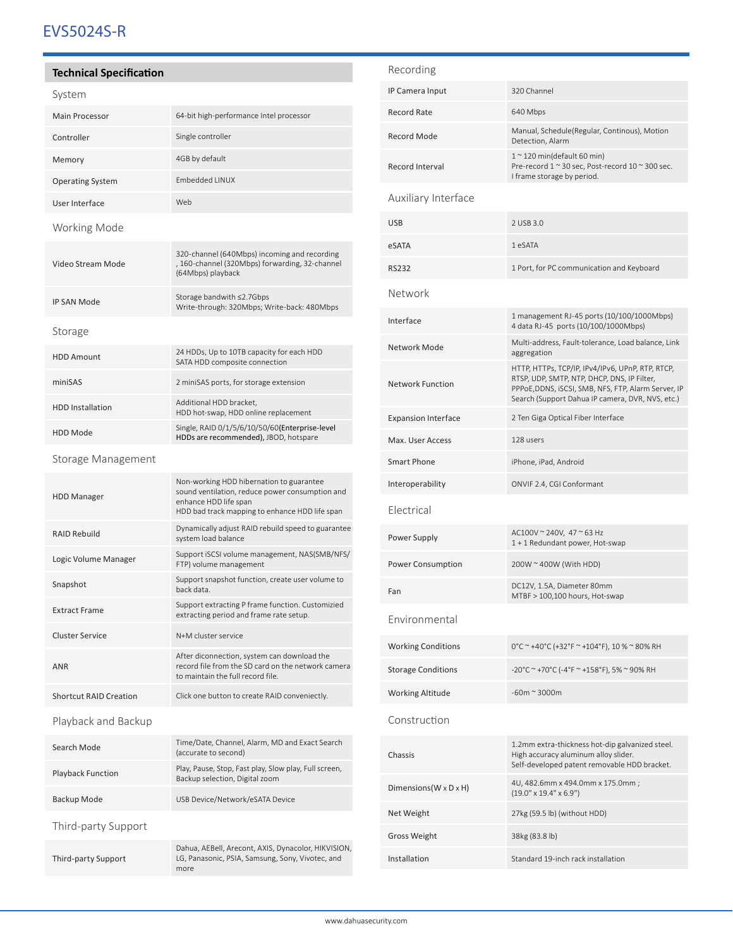# EVS5024S-R

### **Technical Specification**

| эуэгент                       |                                                                                                                                                                        |  |
|-------------------------------|------------------------------------------------------------------------------------------------------------------------------------------------------------------------|--|
| <b>Main Processor</b>         | 64-bit high-performance Intel processor                                                                                                                                |  |
| Controller                    | Single controller                                                                                                                                                      |  |
| Memory                        | 4GB by default                                                                                                                                                         |  |
| <b>Operating System</b>       | Embedded LINUX                                                                                                                                                         |  |
| User Interface                | Web                                                                                                                                                                    |  |
| Working Mode                  |                                                                                                                                                                        |  |
| Video Stream Mode             | 320-channel (640Mbps) incoming and recording<br>, 160-channel (320Mbps) forwarding, 32-channel<br>(64Mbps) playback                                                    |  |
| <b>IP SAN Mode</b>            | Storage bandwith ≤2.7Gbps<br>Write-through: 320Mbps; Write-back: 480Mbps                                                                                               |  |
| Storage                       |                                                                                                                                                                        |  |
| <b>HDD Amount</b>             | 24 HDDs, Up to 10TB capacity for each HDD<br>SATA HDD composite connection                                                                                             |  |
| miniSAS                       | 2 miniSAS ports, for storage extension                                                                                                                                 |  |
| <b>HDD</b> Installation       | Additional HDD bracket,<br>HDD hot-swap, HDD online replacement                                                                                                        |  |
| <b>HDD Mode</b>               | Single, RAID 0/1/5/6/10/50/60(Enterprise-level<br>HDDs are recommended), JBOD, hotspare                                                                                |  |
| Storage Management            |                                                                                                                                                                        |  |
| <b>HDD Manager</b>            | Non-working HDD hibernation to guarantee<br>sound ventilation, reduce power consumption and<br>enhance HDD life span<br>HDD bad track mapping to enhance HDD life span |  |
| <b>RAID Rebuild</b>           | Dynamically adjust RAID rebuild speed to guarantee<br>system load balance                                                                                              |  |
| Logic Volume Manager          | Support iSCSI volume management, NAS(SMB/NFS/<br>FTP) volume management                                                                                                |  |
| Snapshot                      | Support snapshot function, create user volume to<br>back data.                                                                                                         |  |
| <b>Extract Frame</b>          | Support extracting P frame function. Customizied<br>extracting period and frame rate setup.                                                                            |  |
| <b>Cluster Service</b>        | N+M cluster service                                                                                                                                                    |  |
| <b>ANR</b>                    | After diconnection, system can download the<br>record file from the SD card on the network camera<br>to maintain the full record file.                                 |  |
| <b>Shortcut RAID Creation</b> | Click one button to create RAID conveniectly.                                                                                                                          |  |
| Playback and Backup           |                                                                                                                                                                        |  |
| Search Mode                   | Time/Date, Channel, Alarm, MD and Exact Search<br>(accurate to second)                                                                                                 |  |
| <b>Playback Function</b>      | Play, Pause, Stop, Fast play, Slow play, Full screen,<br>Backup selection, Digital zoom                                                                                |  |
| Backup Mode                   | USB Device/Network/eSATA Device                                                                                                                                        |  |
| Third-party Support           |                                                                                                                                                                        |  |
| Third-party Support           | Dahua, AEBell, Arecont, AXIS, Dynacolor, HIKVISION,<br>LG, Panasonic, PSIA, Samsung, Sony, Vivotec, and<br>more                                                        |  |
|                               |                                                                                                                                                                        |  |

| Recording                            |                                                                                                                                                                                                           |
|--------------------------------------|-----------------------------------------------------------------------------------------------------------------------------------------------------------------------------------------------------------|
| IP Camera Input                      | 320 Channel                                                                                                                                                                                               |
| <b>Record Rate</b>                   | 640 Mbps                                                                                                                                                                                                  |
| Record Mode                          | Manual, Schedule(Regular, Continous), Motion<br>Detection, Alarm                                                                                                                                          |
| Record Interval                      | $10$ 120 min(default 60 min)<br>Pre-record 1 ~ 30 sec, Post-record 10 ~ 300 sec.<br>I frame storage by period.                                                                                            |
| <b>Auxiliary Interface</b>           |                                                                                                                                                                                                           |
| <b>USB</b>                           | 2 USB 3.0                                                                                                                                                                                                 |
| eSATA                                | 1 eSATA                                                                                                                                                                                                   |
| RS232                                | 1 Port, for PC communication and Keyboard                                                                                                                                                                 |
| Network                              |                                                                                                                                                                                                           |
| Interface                            | 1 management RJ-45 ports (10/100/1000Mbps)<br>4 data RJ-45 ports (10/100/1000Mbps)                                                                                                                        |
| Network Mode                         | Multi-address, Fault-tolerance, Load balance, Link<br>aggregation                                                                                                                                         |
| <b>Network Function</b>              | HTTP, HTTPs, TCP/IP, IPv4/IPv6, UPnP, RTP, RTCP,<br>RTSP, UDP, SMTP, NTP, DHCP, DNS, IP Filter,<br>PPPoE,DDNS, iSCSI, SMB, NFS, FTP, Alarm Server, IP<br>Search (Support Dahua IP camera, DVR, NVS, etc.) |
| <b>Expansion Interface</b>           | 2 Ten Giga Optical Fiber Interface                                                                                                                                                                        |
| Max. User Access                     | 128 users                                                                                                                                                                                                 |
| Smart Phone                          | iPhone, iPad, Android                                                                                                                                                                                     |
| Interoperability                     | ONVIF 2.4, CGI Conformant                                                                                                                                                                                 |
| Electrical                           |                                                                                                                                                                                                           |
| Power Supply                         | AC100V ~ 240V, 47 ~ 63 Hz<br>1 + 1 Redundant power, Hot-swap                                                                                                                                              |
| <b>Power Consumption</b>             | 200W ~ 400W (With HDD)                                                                                                                                                                                    |
| Fan                                  | DC12V, 1.5A, Diameter 80mm<br>MTBF > 100,100 hours, Hot-swap                                                                                                                                              |
| Environmental                        |                                                                                                                                                                                                           |
| <b>Working Conditions</b>            | 0°C ~ +40°C (+32°F ~ +104°F), 10 % ~ 80% RH                                                                                                                                                               |
| <b>Storage Conditions</b>            | -20°C ~ +70°C (-4°F ~ +158°F), 5% ~ 90% RH                                                                                                                                                                |
| <b>Working Altitude</b>              | $-60m \approx 3000m$                                                                                                                                                                                      |
| Construction                         |                                                                                                                                                                                                           |
| Chassis                              | 1.2mm extra-thickness hot-dip galvanized steel.<br>High accuracy aluminum alloy slider.<br>Self-developed patent removable HDD bracket.                                                                   |
| Dimensions ( $W \times D \times H$ ) | 4U, 482.6mm x 494.0mm x 175.0mm;<br>$(19.0" \times 19.4" \times 6.9")$                                                                                                                                    |
| Net Weight                           | 27kg (59.5 lb) (without HDD)                                                                                                                                                                              |
| Gross Weight                         | 38kg (83.8 lb)                                                                                                                                                                                            |
| Installation                         | Standard 19-inch rack installation                                                                                                                                                                        |